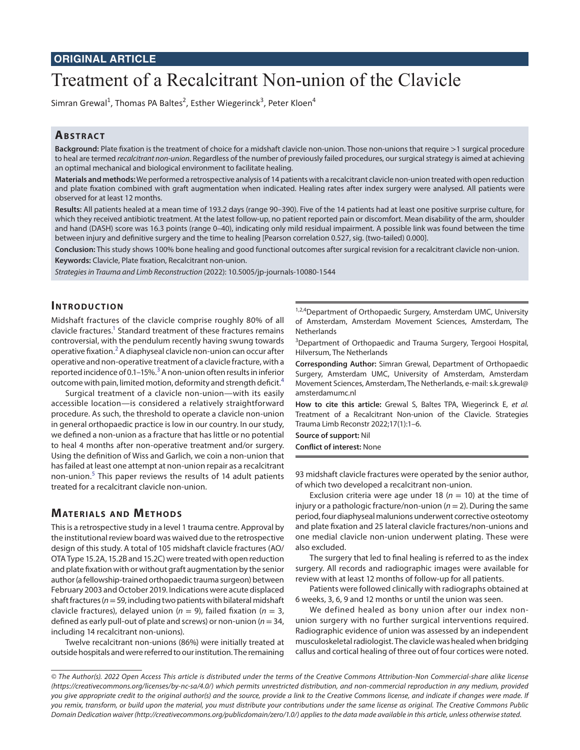# Treatment of a Recalcitrant Non-union of the Clavicle

Simran Grewal<sup>1</sup>, Thomas PA Baltes<sup>2</sup>, Esther Wiegerinck<sup>3</sup>, Peter Kloen<sup>4</sup>

# **ABSTRACT**

**Background:** Plate fixation is the treatment of choice for a midshaft clavicle non-union. Those non-unions that require >1 surgical procedure to heal are termed *recalcitrant non-union*. Regardless of the number of previously failed procedures, our surgical strategy is aimed at achieving an optimal mechanical and biological environment to facilitate healing.

**Materials and methods:** We performed a retrospective analysis of 14 patients with a recalcitrant clavicle non-union treated with open reduction and plate fixation combined with graft augmentation when indicated. Healing rates after index surgery were analysed. All patients were observed for at least 12 months.

**Results:** All patients healed at a mean time of 193.2 days (range 90–390). Five of the 14 patients had at least one positive surprise culture, for which they received antibiotic treatment. At the latest follow-up, no patient reported pain or discomfort. Mean disability of the arm, shoulder and hand (DASH) score was 16.3 points (range 0–40), indicating only mild residual impairment. A possible link was found between the time between injury and definitive surgery and the time to healing [Pearson correlation 0.527, sig. (two-tailed) 0.000].

**Conclusion:** This study shows 100% bone healing and good functional outcomes after surgical revision for a recalcitrant clavicle non-union. **Keywords:** Clavicle, Plate fixation, Recalcitrant non-union.

*Strategies in Trauma and Limb Reconstruction* (2022): 10.5005/jp-journals-10080-1544

# **INTRODUCTION**

Midshaft fractures of the clavicle comprise roughly 80% of all clavicle fractures.<sup>1</sup> Standard treatment of these fractures remains controversial, with the pendulum recently having swung towards operative fixation. $^2$  $^2$  A diaphyseal clavicle non-union can occur after operative and non-operative treatment of a clavicle fracture, with a reported incidence of 0.1–15%.<sup>[3](#page-4-2)</sup> A non-union often results in inferior outcome with pain, limited motion, deformity and strength deficit.<sup>[4](#page-4-3)</sup>

Surgical treatment of a clavicle non-union—with its easily accessible location—is considered a relatively straightforward procedure. As such, the threshold to operate a clavicle non-union in general orthopaedic practice is low in our country. In our study, we defined a non-union as a fracture that has little or no potential to heal 4 months after non-operative treatment and/or surgery. Using the definition of Wiss and Garlich, we coin a non-union that has failed at least one attempt at non-union repair as a recalcitrant non-union.<sup>[5](#page-4-4)</sup> This paper reviews the results of 14 adult patients treated for a recalcitrant clavicle non-union.

# **MATERIALS AND METHODS**

This is a retrospective study in a level 1 trauma centre. Approval by the institutional review board was waived due to the retrospective design of this study. A total of 105 midshaft clavicle fractures (AO/ OTA Type 15.2A, 15.2B and 15.2C) were treated with open reduction and plate fixation with or without graft augmentation by the senior author (a fellowship-trained orthopaedic trauma surgeon) between February 2003 and October 2019. Indications were acute displaced shaft fractures (*n*= 59, including two patients with bilateral midshaft clavicle fractures), delayed union ( $n = 9$ ), failed fixation ( $n = 3$ , defined as early pull-out of plate and screws) or non-union (*n*= 34, including 14 recalcitrant non-unions).

Twelve recalcitrant non-unions (86%) were initially treated at outside hospitals and were referred to our institution. The remaining

1,2,4 Department of Orthopaedic Surgery, Amsterdam UMC, University of Amsterdam, Amsterdam Movement Sciences, Amsterdam, The **Netherlands** 

<sup>3</sup>Department of Orthopaedic and Trauma Surgery, Tergooi Hospital, Hilversum, The Netherlands

**Corresponding Author:** Simran Grewal, Department of Orthopaedic Surgery, Amsterdam UMC, University of Amsterdam, Amsterdam Movement Sciences, Amsterdam, The Netherlands, e-mail: s.k.grewal@ amsterdamumc.nl

**How to cite this article:** Grewal S, Baltes TPA, Wiegerinck E, *et al.* Treatment of a Recalcitrant Non-union of the Clavicle. Strategies Trauma Limb Reconstr 2022;17(1):1–6.

**Source of support:** Nil

**Conflict of interest:** None

93 midshaft clavicle fractures were operated by the senior author, of which two developed a recalcitrant non-union.

Exclusion criteria were age under 18 ( $n = 10$ ) at the time of injury or a pathologic fracture/non-union ( $n = 2$ ). During the same period, four diaphyseal malunions underwent corrective osteotomy and plate fixation and 25 lateral clavicle fractures/non-unions and one medial clavicle non-union underwent plating. These were also excluded.

The surgery that led to final healing is referred to as the index surgery. All records and radiographic images were available for review with at least 12 months of follow-up for all patients.

Patients were followed clinically with radiographs obtained at 6 weeks, 3, 6, 9 and 12 months or until the union was seen.

We defined healed as bony union after our index nonunion surgery with no further surgical interventions required. Radiographic evidence of union was assessed by an independent musculoskeletal radiologist. The clavicle was healed when bridging callus and cortical healing of three out of four cortices were noted.

*<sup>©</sup> The Author(s). 2022 Open Access This article is distributed under the terms of the Creative Commons Attribution-Non Commercial-share alike license [\(https://creativecommons.org/licenses/by-nc-sa/4.0/](https://creativecommons.org/licenses/by-nc-sa/4.0/)) which permits unrestricted distribution, and non-commercial reproduction in any medium, provided you give appropriate credit to the original author(s) and the source, provide a link to the Creative Commons license, and indicate if changes were made. If you remix, transform, or build upon the material, you must distribute your contributions under the same license as original. The Creative Commons Public Domain Dedication waiver [\(http://creativecommons.org/publicdomain/zero/1.0/\)](http://creativecommons.org/publicdomain/zero/1.0/) applies to the data made available in this article, unless otherwise stated.*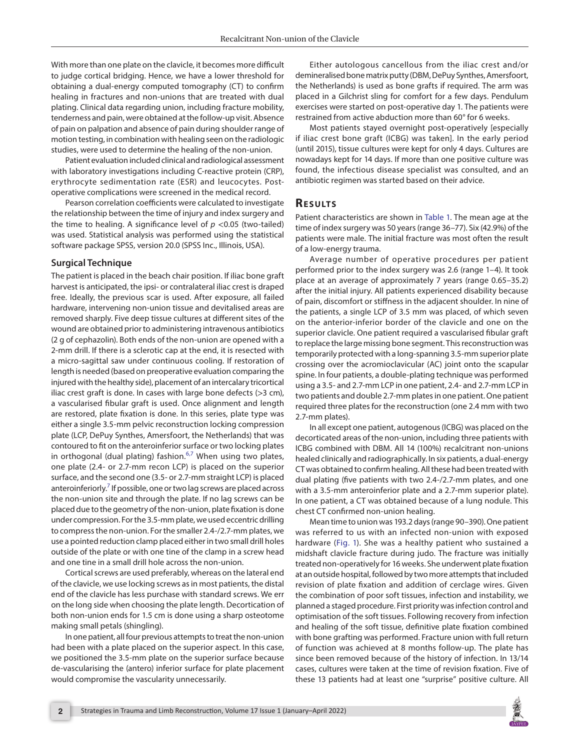With more than one plate on the clavicle, it becomes more difficult to judge cortical bridging. Hence, we have a lower threshold for obtaining a dual-energy computed tomography (CT) to confirm healing in fractures and non-unions that are treated with dual plating. Clinical data regarding union, including fracture mobility, tenderness and pain, were obtained at the follow-up visit. Absence of pain on palpation and absence of pain during shoulder range of motion testing, in combination with healing seen on the radiologic studies, were used to determine the healing of the non-union.

Patient evaluation included clinical and radiological assessment with laboratory investigations including C-reactive protein (CRP), erythrocyte sedimentation rate (ESR) and leucocytes. Postoperative complications were screened in the medical record.

Pearson correlation coefficients were calculated to investigate the relationship between the time of injury and index surgery and the time to healing. A significance level of  $p < 0.05$  (two-tailed) was used. Statistical analysis was performed using the statistical software package SPSS, version 20.0 (SPSS Inc., Illinois, USA).

#### **Surgical Technique**

The patient is placed in the beach chair position. If iliac bone graft harvest is anticipated, the ipsi- or contralateral iliac crest is draped free. Ideally, the previous scar is used. After exposure, all failed hardware, intervening non-union tissue and devitalised areas are removed sharply. Five deep tissue cultures at different sites of the wound are obtained prior to administering intravenous antibiotics (2 g of cephazolin). Both ends of the non-union are opened with a 2-mm drill. If there is a sclerotic cap at the end, it is resected with a micro-sagittal saw under continuous cooling. If restoration of length is needed (based on preoperative evaluation comparing the injured with the healthy side), placement of an intercalary tricortical iliac crest graft is done. In cases with large bone defects  $(>= 3$  cm), a vascularised fibular graft is used. Once alignment and length are restored, plate fixation is done. In this series, plate type was either a single 3.5-mm pelvic reconstruction locking compression plate (LCP, DePuy Synthes, Amersfoort, the Netherlands) that was contoured to fit on the anteroinferior surface or two locking plates in orthogonal (dual plating) fashion.<sup>[6,](#page-4-5)[7](#page-4-6)</sup> When using two plates, one plate (2.4- or 2.7-mm recon LCP) is placed on the superior surface, and the second one (3.5- or 2.7-mm straight LCP) is placed anteroinferiorly.<sup>7</sup> If possible, one or two lag screws are placed across the non-union site and through the plate. If no lag screws can be placed due to the geometry of the non-union, plate fixation is done under compression. For the 3.5-mm plate, we used eccentric drilling to compress the non-union. For the smaller 2.4-/2.7-mm plates, we use a pointed reduction clamp placed either in two small drill holes outside of the plate or with one tine of the clamp in a screw head and one tine in a small drill hole across the non-union.

Cortical screws are used preferably, whereas on the lateral end of the clavicle, we use locking screws as in most patients, the distal end of the clavicle has less purchase with standard screws. We err on the long side when choosing the plate length. Decortication of both non-union ends for 1.5 cm is done using a sharp osteotome making small petals (shingling).

In one patient, all four previous attempts to treat the non-union had been with a plate placed on the superior aspect. In this case, we positioned the 3.5-mm plate on the superior surface because de-vascularising the (antero) inferior surface for plate placement would compromise the vascularity unnecessarily.

Either autologous cancellous from the iliac crest and/or demineralised bone matrix putty (DBM, DePuy Synthes, Amersfoort, the Netherlands) is used as bone grafts if required. The arm was placed in a Gilchrist sling for comfort for a few days. Pendulum exercises were started on post-operative day 1. The patients were restrained from active abduction more than 60° for 6 weeks.

Most patients stayed overnight post-operatively [especially if iliac crest bone graft (ICBG) was taken]. In the early period (until 2015), tissue cultures were kept for only 4 days. Cultures are nowadays kept for 14 days. If more than one positive culture was found, the infectious disease specialist was consulted, and an antibiotic regimen was started based on their advice.

### **Re s u lts**

Patient characteristics are shown in [Table 1](#page-2-0). The mean age at the time of index surgery was 50 years (range 36–77). Six (42.9%) of the patients were male. The initial fracture was most often the result of a low-energy trauma.

Average number of operative procedures per patient performed prior to the index surgery was 2.6 (range 1–4). It took place at an average of approximately 7 years (range 0.65–35.2) after the initial injury. All patients experienced disability because of pain, discomfort or stiffness in the adjacent shoulder. In nine of the patients, a single LCP of 3.5 mm was placed, of which seven on the anterior-inferior border of the clavicle and one on the superior clavicle. One patient required a vascularised fibular graft to replace the large missing bone segment. This reconstruction was temporarily protected with a long-spanning 3.5-mm superior plate crossing over the acromioclavicular (AC) joint onto the scapular spine. In four patients, a double-plating technique was performed using a 3.5- and 2.7-mm LCP in one patient, 2.4- and 2.7-mm LCP in two patients and double 2.7-mm plates in one patient. One patient required three plates for the reconstruction (one 2.4 mm with two 2.7-mm plates).

In all except one patient, autogenous (ICBG) was placed on the decorticated areas of the non-union, including three patients with ICBG combined with DBM. All 14 (100%) recalcitrant non-unions healed clinically and radiographically. In six patients, a dual-energy CT was obtained to confirm healing. All these had been treated with dual plating (five patients with two 2.4-/2.7-mm plates, and one with a 3.5-mm anteroinferior plate and a 2.7-mm superior plate). In one patient, a CT was obtained because of a lung nodule. This chest CT confirmed non-union healing.

Mean time to union was 193.2 days (range 90–390). One patient was referred to us with an infected non-union with exposed hardware [\(Fig. 1\)](#page-3-0). She was a healthy patient who sustained a midshaft clavicle fracture during judo. The fracture was initially treated non-operatively for 16 weeks. She underwent plate fixation at an outside hospital, followed by two more attempts that included revision of plate fixation and addition of cerclage wires. Given the combination of poor soft tissues, infection and instability, we planned a staged procedure. First priority was infection control and optimisation of the soft tissues. Following recovery from infection and healing of the soft tissue, definitive plate fixation combined with bone grafting was performed. Fracture union with full return of function was achieved at 8 months follow-up. The plate has since been removed because of the history of infection. In 13/14 cases, cultures were taken at the time of revision fixation. Five of these 13 patients had at least one "surprise" positive culture. All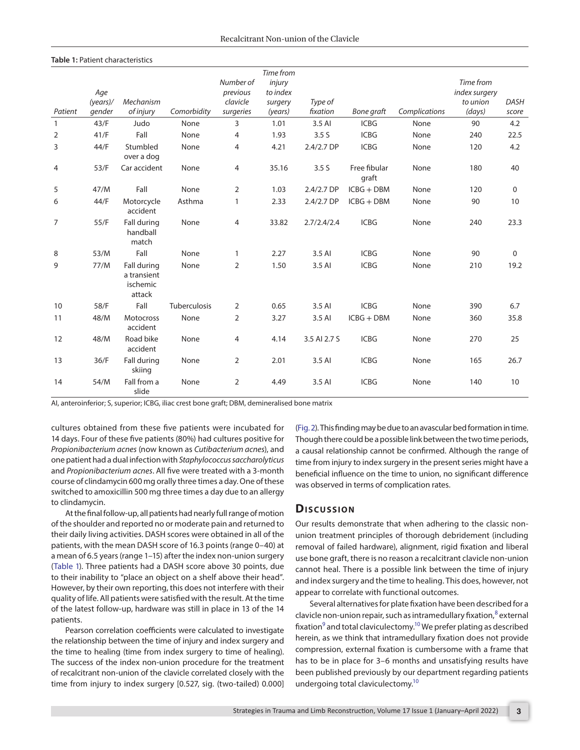#### <span id="page-2-0"></span>**Table 1:** Patient characteristics

|                |             |                                                  |              |                | Time from |                  |                       |               |               |             |
|----------------|-------------|--------------------------------------------------|--------------|----------------|-----------|------------------|-----------------------|---------------|---------------|-------------|
|                |             |                                                  |              | Number of      | injury    |                  |                       |               | Time from     |             |
|                | Age         |                                                  |              | previous       | to index  |                  |                       |               | index surgery |             |
|                | $(years)$ / | Mechanism                                        |              | clavicle       | surgery   | Type of          |                       |               | to union      | <b>DASH</b> |
| Patient        | gender      | of injury                                        | Comorbidity  | surgeries      | (years)   | fixation         | <b>Bone graft</b>     | Complications | (days)        | score       |
| $\mathbf{1}$   | 43/F        | Judo                                             | None         | 3              | 1.01      | 3.5 AI           | <b>ICBG</b>           | None          | 90            | 4.2         |
| $\overline{2}$ | 41/F        | Fall                                             | None         | $\overline{4}$ | 1.93      | 3.5S             | <b>ICBG</b>           | None          | 240           | 22.5        |
| 3              | 44/F        | Stumbled<br>over a dog                           | None         | 4              | 4.21      | $2.4/2.7$ DP     | <b>ICBG</b>           | None          | 120           | 4.2         |
| 4              | 53/F        | Car accident                                     | None         | 4              | 35.16     | 3.5 <sub>S</sub> | Free fibular<br>graft | None          | 180           | 40          |
| 5              | 47/M        | Fall                                             | None         | $\overline{2}$ | 1.03      | 2.4/2.7 DP       | $ICBG + DBM$          | None          | 120           | 0           |
| 6              | 44/F        | Motorcycle<br>accident                           | Asthma       | 1              | 2.33      | 2.4/2.7 DP       | $ICBG + DBM$          | None          | 90            | 10          |
| $\overline{7}$ | 55/F        | Fall during<br>handball<br>match                 | None         | 4              | 33.82     | 2.7/2.4/2.4      | <b>ICBG</b>           | None          | 240           | 23.3        |
| 8              | 53/M        | Fall                                             | None         | 1              | 2.27      | 3.5 AI           | <b>ICBG</b>           | None          | 90            | 0           |
| 9              | 77/M        | Fall during<br>a transient<br>ischemic<br>attack | None         | $\overline{2}$ | 1.50      | 3.5 AI           | <b>ICBG</b>           | None          | 210           | 19.2        |
| 10             | 58/F        | Fall                                             | Tuberculosis | $\overline{2}$ | 0.65      | 3.5 AI           | <b>ICBG</b>           | None          | 390           | 6.7         |
| 11             | 48/M        | <b>Motocross</b><br>accident                     | None         | 2              | 3.27      | 3.5 AI           | $ICBG + DBM$          | None          | 360           | 35.8        |
| 12             | 48/M        | Road bike<br>accident                            | None         | 4              | 4.14      | 3.5 AI 2.7 S     | <b>ICBG</b>           | None          | 270           | 25          |
| 13             | 36/F        | Fall during<br>skiing                            | None         | $\overline{2}$ | 2.01      | 3.5 AI           | <b>ICBG</b>           | None          | 165           | 26.7        |
| 14             | 54/M        | Fall from a<br>slide                             | None         | 2              | 4.49      | 3.5 AI           | <b>ICBG</b>           | None          | 140           | 10          |

AI, anteroinferior; S, superior; ICBG, iliac crest bone graft; DBM, demineralised bone matrix

cultures obtained from these five patients were incubated for 14 days. Four of these five patients (80%) had cultures positive for *Propionibacterium acnes* (now known as *Cutibacterium acnes*), and one patient had a dual infection with *Staphylococcus saccharolyticus* and *Propionibacterium acnes*. All five were treated with a 3-month course of clindamycin 600 mg orally three times a day. One of these switched to amoxicillin 500 mg three times a day due to an allergy to clindamycin.

At the final follow-up, all patients had nearly full range of motion of the shoulder and reported no or moderate pain and returned to their daily living activities. DASH scores were obtained in all of the patients, with the mean DASH score of 16.3 points (range 0–40) at a mean of 6.5 years (range 1–15) after the index non-union surgery ([Table 1\)](#page-2-0). Three patients had a DASH score above 30 points, due to their inability to "place an object on a shelf above their head". However, by their own reporting, this does not interfere with their quality of life. All patients were satisfied with the result. At the time of the latest follow-up, hardware was still in place in 13 of the 14 patients.

Pearson correlation coefficients were calculated to investigate the relationship between the time of injury and index surgery and the time to healing (time from index surgery to time of healing). The success of the index non-union procedure for the treatment of recalcitrant non-union of the clavicle correlated closely with the time from injury to index surgery [0.527, sig. (two-tailed) 0.000]

[\(Fig. 2\)](#page-3-1). This finding may be due to an avascular bed formation in time. Though there could be a possible link between the two time periods, a causal relationship cannot be confirmed. Although the range of time from injury to index surgery in the present series might have a beneficial influence on the time to union, no significant difference was observed in terms of complication rates.

# **Dis c u s sio n**

Our results demonstrate that when adhering to the classic nonunion treatment principles of thorough debridement (including removal of failed hardware), alignment, rigid fixation and liberal use bone graft, there is no reason a recalcitrant clavicle non-union cannot heal. There is a possible link between the time of injury and index surgery and the time to healing. This does, however, not appear to correlate with functional outcomes.

Several alternatives for plate fixation have been described for a clavicle non-union repair, such as intramedullary fixation,<sup>[8](#page-4-7)</sup> external fixation $^9$  and total claviculectomy. $^{10}$  We prefer plating as described herein, as we think that intramedullary fixation does not provide compression, external fixation is cumbersome with a frame that has to be in place for 3–6 months and unsatisfying results have been published previously by our department regarding patients undergoing total claviculectomy[.10](#page-4-9)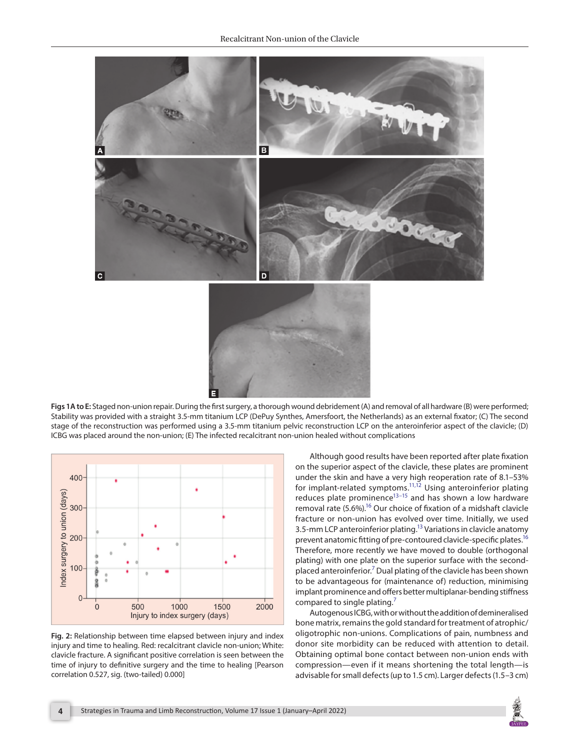

<span id="page-3-0"></span>**Figs 1A to E:** Staged non-union repair. During the first surgery, a thorough wound debridement (A) and removal of all hardware (B) were performed; Stability was provided with a straight 3.5-mm titanium LCP (DePuy Synthes, Amersfoort, the Netherlands) as an external fixator; (C) The second stage of the reconstruction was performed using a 3.5-mm titanium pelvic reconstruction LCP on the anteroinferior aspect of the clavicle; (D) ICBG was placed around the non-union; (E) The infected recalcitrant non-union healed without complications



<span id="page-3-1"></span>**Fig. 2:** Relationship between time elapsed between injury and index injury and time to healing. Red: recalcitrant clavicle non-union; White: clavicle fracture. A significant positive correlation is seen between the time of injury to definitive surgery and the time to healing [Pearson correlation 0.527, sig. (two-tailed) 0.000]

Although good results have been reported after plate fixation on the superior aspect of the clavicle, these plates are prominent under the skin and have a very high reoperation rate of 8.1–53% for implant-related symptoms.<sup>11,[12](#page-4-11)</sup> Using anteroinferior plating reduces plate prominence<sup>13–15</sup> and has shown a low hardware removal rate (5.6%).<sup>16</sup> Our choice of fixation of a midshaft clavicle fracture or non-union has evolved over time. Initially, we used 3.5-mm LCP anteroinferior plating.<sup>13</sup> Variations in clavicle anatomy prevent anatomic fitting of pre-contoured clavicle-specific plates.<sup>16</sup> Therefore, more recently we have moved to double (orthogonal plating) with one plate on the superior surface with the second-placed anteroinferior.<sup>[7](#page-4-6)</sup> Dual plating of the clavicle has been shown to be advantageous for (maintenance of) reduction, minimising implant prominence and offers better multiplanar-bending stiffness compared to single plating.<sup>7</sup>

Autogenous ICBG, with or without the addition of demineralised bone matrix, remains the gold standard for treatment of atrophic/ oligotrophic non-unions. Complications of pain, numbness and donor site morbidity can be reduced with attention to detail. Obtaining optimal bone contact between non-union ends with compression—even if it means shortening the total length—is advisable for small defects (up to 1.5 cm). Larger defects (1.5–3 cm)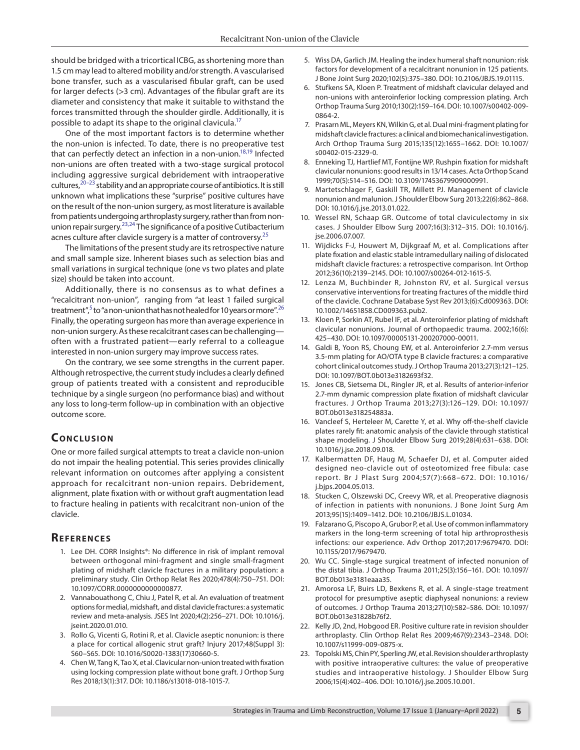should be bridged with a tricortical ICBG, as shortening more than 1.5 cm may lead to altered mobility and/or strength. A vascularised bone transfer, such as a vascularised fibular graft, can be used for larger defects (>3 cm). Advantages of the fibular graft are its diameter and consistency that make it suitable to withstand the forces transmitted through the shoulder girdle. Additionally, it is possible to adapt its shape to the original clavicula.<sup>17</sup>

One of the most important factors is to determine whether the non-union is infected. To date, there is no preoperative test that can perfectly detect an infection in a non-union.<sup>18,19</sup> Infected non-unions are often treated with a two-stage surgical protocol including aggressive surgical debridement with intraoperative cultures,  $20-23$  $20-23$  stability and an appropriate course of antibiotics. It is still unknown what implications these "surprise" positive cultures have on the result of the non-union surgery, as most literature is available from patients undergoing arthroplasty surgery, rather than from nonunion repair surgery.[23](#page-4-19)[,24](#page-5-0) The significance of a positive Cutibacterium acnes culture after clavicle surgery is a matter of controversy.<sup>[25](#page-5-1)</sup>

The limitations of the present study are its retrospective nature and small sample size. Inherent biases such as selection bias and small variations in surgical technique (one vs two plates and plate size) should be taken into account.

Additionally, there is no consensus as to what defines a "recalcitrant non-union", ranging from "at least 1 failed surgical treatment",<sup>5</sup> to "a non-union that has not healed for 10 years or more".<sup>[26](#page-5-2)</sup> Finally, the operating surgeon has more than average experience in non-union surgery. As these recalcitrant cases can be challenging often with a frustrated patient—early referral to a colleague interested in non-union surgery may improve success rates.

On the contrary, we see some strengths in the current paper. Although retrospective, the current study includes a clearly defined group of patients treated with a consistent and reproducible technique by a single surgeon (no performance bias) and without any loss to long-term follow-up in combination with an objective outcome score.

# **CONCLUSION**

One or more failed surgical attempts to treat a clavicle non-union do not impair the healing potential. This series provides clinically relevant information on outcomes after applying a consistent approach for recalcitrant non-union repairs. Debridement, alignment, plate fixation with or without graft augmentation lead to fracture healing in patients with recalcitrant non-union of the clavicle.

#### **REFERENCES**

- <span id="page-4-0"></span>1. Lee DH. CORR Insights®: No difference in risk of implant removal between orthogonal mini-fragment and single small-fragment plating of midshaft clavicle fractures in a military population: a preliminary study. Clin Orthop Relat Res 2020;478(4):750–751. DOI: 10.1097/CORR.0000000000000877.
- <span id="page-4-1"></span>2. Vannabouathong C, Chiu J, Patel R, et al. An evaluation of treatment options for medial, midshaft, and distal clavicle fractures: a systematic review and meta-analysis. JSES Int 2020;4(2):256–271. DOI: 10.1016/j. jseint.2020.01.010.
- <span id="page-4-2"></span>3. Rollo G, Vicenti G, Rotini R, et al. Clavicle aseptic nonunion: is there a place for cortical allogenic strut graft? Injury 2017;48(Suppl 3): S60–S65. DOI: 10.1016/S0020-1383(17)30660-5.
- <span id="page-4-3"></span>4. Chen W, Tang K, Tao X, et al. Clavicular non-union treated with fixation using locking compression plate without bone graft. J Orthop Surg Res 2018;13(1):317. DOI: 10.1186/s13018-018-1015-7.
- <span id="page-4-4"></span>5. Wiss DA, Garlich JM. Healing the index humeral shaft nonunion: risk factors for development of a recalcitrant nonunion in 125 patients. J Bone Joint Surg 2020;102(5):375–380. DOI: 10.2106/JBJS.19.01115.
- <span id="page-4-5"></span>6. Stufkens SA, Kloen P. Treatment of midshaft clavicular delayed and non-unions with anteroinferior locking compression plating. Arch Orthop Trauma Surg 2010;130(2):159–164. DOI: 10.1007/s00402-009- 0864-2.
- <span id="page-4-6"></span>7. Prasarn ML, Meyers KN, Wilkin G, et al. Dual mini-fragment plating for midshaft clavicle fractures: a clinical and biomechanical investigation. Arch Orthop Trauma Surg 2015;135(12):1655–1662. DOI: 10.1007/ s00402-015-2329-0.
- <span id="page-4-7"></span>8. Enneking TJ, Hartlief MT, Fontijne WP. Rushpin fixation for midshaft clavicular nonunions: good results in 13/14 cases. Acta Orthop Scand 1999;70(5):514–516. DOI: 10.3109/17453679909000991.
- <span id="page-4-8"></span>9. Martetschlager F, Gaskill TR, Millett PJ. Management of clavicle nonunion and malunion. J Shoulder Elbow Surg 2013;22(6):862–868. DOI: 10.1016/j.jse.2013.01.022.
- <span id="page-4-9"></span>10. Wessel RN, Schaap GR. Outcome of total claviculectomy in six cases. J Shoulder Elbow Surg 2007;16(3):312–315. DOI: 10.1016/j. jse.2006.07.007.
- <span id="page-4-10"></span>11. Wijdicks F-J, Houwert M, Dijkgraaf M, et al. Complications after plate fixation and elastic stable intramedullary nailing of dislocated midshaft clavicle fractures: a retrospective comparison. Int Orthop 2012;36(10):2139–2145. DOI: 10.1007/s00264-012-1615-5.
- <span id="page-4-11"></span>12. Lenza M, Buchbinder R, Johnston RV, et al. Surgical versus conservative interventions for treating fractures of the middle third of the clavicle. Cochrane Database Syst Rev 2013;(6):Cd009363. DOI: 10.1002/14651858.CD009363.pub2.
- <span id="page-4-12"></span>13. Kloen P, Sorkin AT, Rubel IF, et al. Anteroinferior plating of midshaft clavicular nonunions. Journal of orthopaedic trauma. 2002;16(6): 425–430. DOI: 10.1097/00005131-200207000-00011.
- 14. Galdi B, Yoon RS, Choung EW, et al. Anteroinferior 2.7-mm versus 3.5-mm plating for AO/OTA type B clavicle fractures: a comparative cohort clinical outcomes study. J Orthop Trauma 2013;27(3):121–125. DOI: 10.1097/BOT.0b013e3182693f32.
- <span id="page-4-13"></span>15. Jones CB, Sietsema DL, Ringler JR, et al. Results of anterior-inferior 2.7-mm dynamic compression plate fixation of midshaft clavicular fractures. J Orthop Trauma 2013;27(3):126–129. DOI: 10.1097/ BOT.0b013e318254883a.
- <span id="page-4-14"></span>16. Vancleef S, Herteleer M, Carette Y, et al. Why off-the-shelf clavicle plates rarely fit: anatomic analysis of the clavicle through statistical shape modeling. J Shoulder Elbow Surg 2019;28(4):631–638. DOI: 10.1016/j.jse.2018.09.018.
- <span id="page-4-15"></span>17. Kalbermatten DF, Haug M, Schaefer DJ, et al. Computer aided designed neo-clavicle out of osteotomized free fibula: case report. Br J Plast Surg 2004;57(7):668–672. DOI: 10.1016/ j.bjps.2004.05.013.
- <span id="page-4-16"></span>18. Stucken C, Olszewski DC, Creevy WR, et al. Preoperative diagnosis of infection in patients with nonunions. J Bone Joint Surg Am 2013;95(15):1409–1412. DOI: 10.2106/JBJS.L.01034.
- <span id="page-4-17"></span>19. Falzarano G, Piscopo A, Grubor P, et al. Use of common inflammatory markers in the long-term screening of total hip arthroprosthesis infections: our experience. Adv Orthop 2017;2017:9679470. DOI: 10.1155/2017/9679470.
- <span id="page-4-18"></span>20. Wu CC. Single-stage surgical treatment of infected nonunion of the distal tibia. J Orthop Trauma 2011;25(3):156–161. DOI: 10.1097/ BOT.0b013e3181eaaa35.
- 21. Amorosa LF, Buirs LD, Bexkens R, et al. A single-stage treatment protocol for presumptive aseptic diaphyseal nonunions: a review of outcomes. J Orthop Trauma 2013;27(10):582–586. DOI: 10.1097/ BOT.0b013e31828b76f2.
- 22. Kelly JD, 2nd, Hobgood ER. Positive culture rate in revision shoulder arthroplasty. Clin Orthop Relat Res 2009;467(9):2343–2348. DOI: 10.1007/s11999-009-0875-x.
- <span id="page-4-19"></span>23. Topolski MS, Chin PY, Sperling JW, et al. Revision shoulder arthroplasty with positive intraoperative cultures: the value of preoperative studies and intraoperative histology. J Shoulder Elbow Surg 2006;15(4):402–406. DOI: 10.1016/j.jse.2005.10.001.